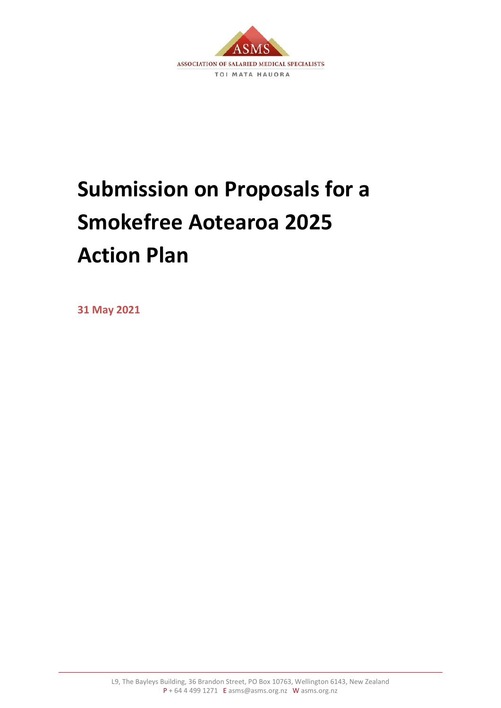

# **Submission on Proposals for a Smokefree Aotearoa 2025 Action Plan**

**31 May 2021**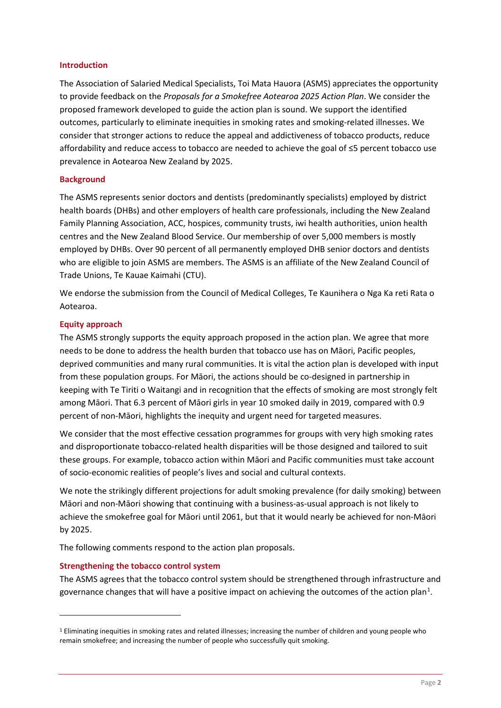#### **Introduction**

The Association of Salaried Medical Specialists, Toi Mata Hauora (ASMS) appreciates the opportunity to provide feedback on the *Proposals for a Smokefree Aotearoa 2025 Action Plan*. We consider the proposed framework developed to guide the action plan is sound. We support the identified outcomes, particularly to eliminate inequities in smoking rates and smoking-related illnesses. We consider that stronger actions to reduce the appeal and addictiveness of tobacco products, reduce affordability and reduce access to tobacco are needed to achieve the goal of ≤5 percent tobacco use prevalence in Aotearoa New Zealand by 2025.

#### **Background**

The ASMS represents senior doctors and dentists (predominantly specialists) employed by district health boards (DHBs) and other employers of health care professionals, including the New Zealand Family Planning Association, ACC, hospices, community trusts, iwi health authorities, union health centres and the New Zealand Blood Service. Our membership of over 5,000 members is mostly employed by DHBs. Over 90 percent of all permanently employed DHB senior doctors and dentists who are eligible to join ASMS are members. The ASMS is an affiliate of the New Zealand Council of Trade Unions, Te Kauae Kaimahi (CTU).

We endorse the submission from the Council of Medical Colleges, Te Kaunihera o Nga Ka reti Rata o Aotearoa.

## **Equity approach**

The ASMS strongly supports the equity approach proposed in the action plan. We agree that more needs to be done to address the health burden that tobacco use has on Māori, Pacific peoples, deprived communities and many rural communities. It is vital the action plan is developed with input from these population groups. For Māori, the actions should be co-designed in partnership in keeping with Te Tiriti o Waitangi and in recognition that the effects of smoking are most strongly felt among Māori. That 6.3 percent of Māori girls in year 10 smoked daily in 2019, compared with 0.9 percent of non-Māori, highlights the inequity and urgent need for targeted measures.

We consider that the most effective cessation programmes for groups with very high smoking rates and disproportionate tobacco-related health disparities will be those designed and tailored to suit these groups. For example, tobacco action within Māori and Pacific communities must take account of socio-economic realities of people's lives and social and cultural contexts.

We note the strikingly different projections for adult smoking prevalence (for daily smoking) between Māori and non-Māori showing that continuing with a business-as-usual approach is not likely to achieve the smokefree goal for Māori until 2061, but that it would nearly be achieved for non-Māori by 2025.

The following comments respond to the action plan proposals.

## **Strengthening the tobacco control system**

The ASMS agrees that the tobacco control system should be strengthened through infrastructure and governance changes that will have a positive impact on achieving the outcomes of the action plan<sup>[1](#page-1-0)</sup>.

<span id="page-1-0"></span><sup>1</sup> Eliminating inequities in smoking rates and related illnesses; increasing the number of children and young people who remain smokefree; and increasing the number of people who successfully quit smoking.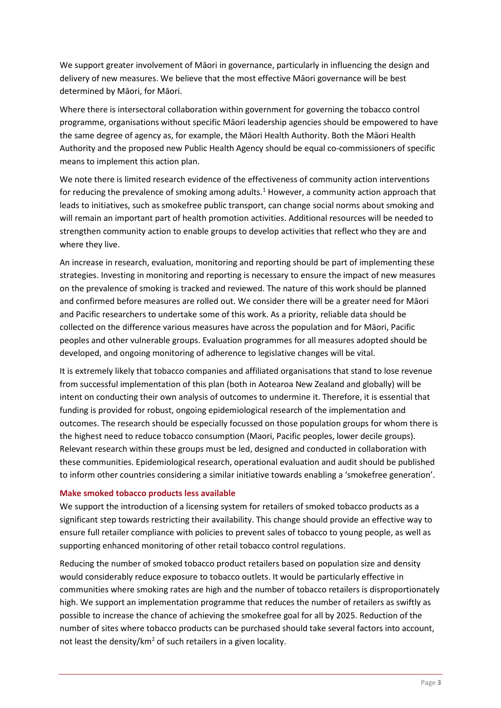We support greater involvement of Māori in governance, particularly in influencing the design and delivery of new measures. We believe that the most effective Māori governance will be best determined by Māori, for Māori.

Where there is intersectoral collaboration within government for governing the tobacco control programme, organisations without specific Māori leadership agencies should be empowered to have the same degree of agency as, for example, the Māori Health Authority. Both the Māori Health Authority and the proposed new Public Health Agency should be equal co-commissioners of specific means to implement this action plan.

We note there is limited research evidence of the effectiveness of community action interventions for reducing the prevalence of smoking among adults.<sup>1</sup> However, a community action approach that leads to initiatives, such as smokefree public transport, can change social norms about smoking and will remain an important part of health promotion activities. Additional resources will be needed to strengthen community action to enable groups to develop activities that reflect who they are and where they live.

An increase in research, evaluation, monitoring and reporting should be part of implementing these strategies. Investing in monitoring and reporting is necessary to ensure the impact of new measures on the prevalence of smoking is tracked and reviewed. The nature of this work should be planned and confirmed before measures are rolled out. We consider there will be a greater need for Māori and Pacific researchers to undertake some of this work. As a priority, reliable data should be collected on the difference various measures have across the population and for Māori, Pacific peoples and other vulnerable groups. Evaluation programmes for all measures adopted should be developed, and ongoing monitoring of adherence to legislative changes will be vital.

It is extremely likely that tobacco companies and affiliated organisations that stand to lose revenue from successful implementation of this plan (both in Aotearoa New Zealand and globally) will be intent on conducting their own analysis of outcomes to undermine it. Therefore, it is essential that funding is provided for robust, ongoing epidemiological research of the implementation and outcomes. The research should be especially focussed on those population groups for whom there is the highest need to reduce tobacco consumption (Maori, Pacific peoples, lower decile groups). Relevant research within these groups must be led, designed and conducted in collaboration with these communities. Epidemiological research, operational evaluation and audit should be published to inform other countries considering a similar initiative towards enabling a 'smokefree generation'.

## **Make smoked tobacco products less available**

We support the introduction of a licensing system for retailers of smoked tobacco products as a significant step towards restricting their availability. This change should provide an effective way to ensure full retailer compliance with policies to prevent sales of tobacco to young people, as well as supporting enhanced monitoring of other retail tobacco control regulations.

Reducing the number of smoked tobacco product retailers based on population size and density would considerably reduce exposure to tobacco outlets. It would be particularly effective in communities where smoking rates are high and the number of tobacco retailers is disproportionately high. We support an implementation programme that reduces the number of retailers as swiftly as possible to increase the chance of achieving the smokefree goal for all by 2025. Reduction of the number of sites where tobacco products can be purchased should take several factors into account, not least the density/ $km^2$  of such retailers in a given locality.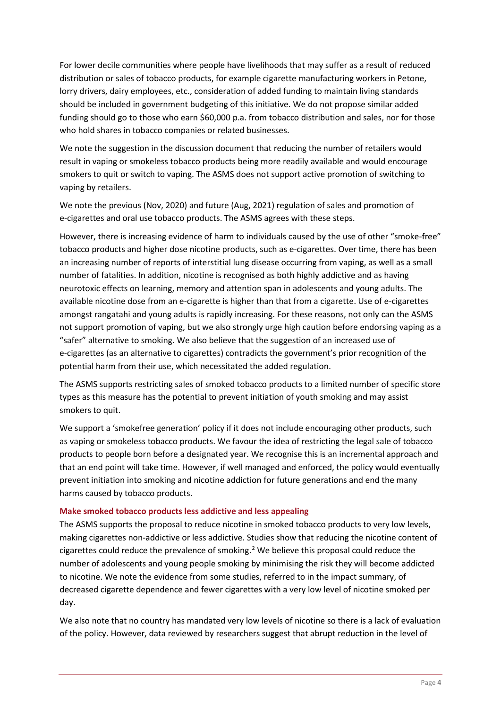For lower decile communities where people have livelihoods that may suffer as a result of reduced distribution or sales of tobacco products, for example cigarette manufacturing workers in Petone, lorry drivers, dairy employees, etc., consideration of added funding to maintain living standards should be included in government budgeting of this initiative. We do not propose similar added funding should go to those who earn \$60,000 p.a. from tobacco distribution and sales, nor for those who hold shares in tobacco companies or related businesses.

We note the suggestion in the discussion document that reducing the number of retailers would result in vaping or smokeless tobacco products being more readily available and would encourage smokers to quit or switch to vaping. The ASMS does not support active promotion of switching to vaping by retailers.

We note the previous (Nov, 2020) and future (Aug, 2021) regulation of sales and promotion of e-cigarettes and oral use tobacco products. The ASMS agrees with these steps.

However, there is increasing evidence of harm to individuals caused by the use of other "smoke-free" tobacco products and higher dose nicotine products, such as e-cigarettes. Over time, there has been an increasing number of reports of interstitial lung disease occurring from vaping, as well as a small number of fatalities. In addition, nicotine is recognised as both highly addictive and as having neurotoxic effects on learning, memory and attention span in adolescents and young adults. The available nicotine dose from an e-cigarette is higher than that from a cigarette. Use of e-cigarettes amongst rangatahi and young adults is rapidly increasing. For these reasons, not only can the ASMS not support promotion of vaping, but we also strongly urge high caution before endorsing vaping as a "safer" alternative to smoking. We also believe that the suggestion of an increased use of e-cigarettes (as an alternative to cigarettes) contradicts the government's prior recognition of the potential harm from their use, which necessitated the added regulation.

The ASMS supports restricting sales of smoked tobacco products to a limited number of specific store types as this measure has the potential to prevent initiation of youth smoking and may assist smokers to quit.

We support a 'smokefree generation' policy if it does not include encouraging other products, such as vaping or smokeless tobacco products. We favour the idea of restricting the legal sale of tobacco products to people born before a designated year. We recognise this is an incremental approach and that an end point will take time. However, if well managed and enforced, the policy would eventually prevent initiation into smoking and nicotine addiction for future generations and end the many harms caused by tobacco products.

## **Make smoked tobacco products less addictive and less appealing**

The ASMS supports the proposal to reduce nicotine in smoked tobacco products to very low levels, making cigarettes non-addictive or less addictive. Studies show that reducing the nicotine content of cigarettes could reduce the prevalence of smoking.<sup>[2](#page-5-1)</sup> We believe this proposal could reduce the number of adolescents and young people smoking by minimising the risk they will become addicted to nicotine. We note the evidence from some studies, referred to in the impact summary, of decreased cigarette dependence and fewer cigarettes with a very low level of nicotine smoked per day.

We also note that no country has mandated very low levels of nicotine so there is a lack of evaluation of the policy. However, data reviewed by researchers suggest that abrupt reduction in the level of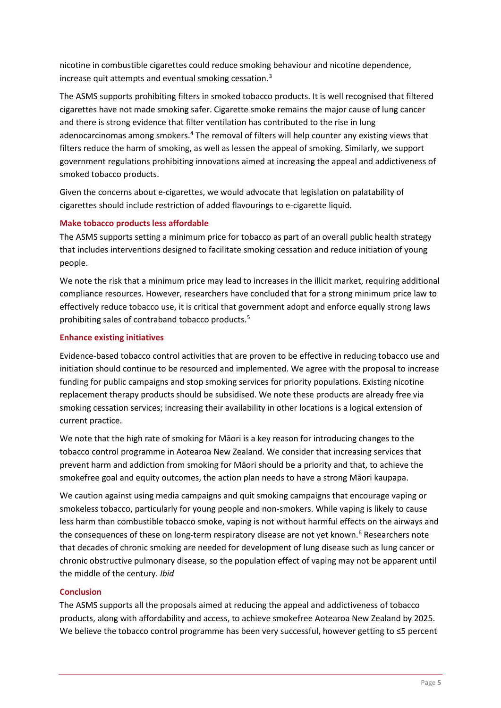nicotine in combustible cigarettes could reduce smoking behaviour and nicotine dependence, increase quit attempts and eventual smoking cessation.[3](#page-5-2)

The ASMS supports prohibiting filters in smoked tobacco products. It is well recognised that filtered cigarettes have not made smoking safer. Cigarette smoke remains the major cause of lung cancer and there is strong evidence that filter ventilation has contributed to the rise in lung adenocarcinomas among smokers.<sup>4</sup> The removal of filters will help counter any existing views that filters reduce the harm of smoking, as well as lessen the appeal of smoking. Similarly, we support government regulations prohibiting innovations aimed at increasing the appeal and addictiveness of smoked tobacco products.

Given the concerns about e-cigarettes, we would advocate that legislation on palatability of cigarettes should include restriction of added flavourings to e-cigarette liquid.

## **Make tobacco products less affordable**

The ASMS supports setting a minimum price for tobacco as part of an overall public health strategy that includes interventions designed to facilitate smoking cessation and reduce initiation of young people.

We note the risk that a minimum price may lead to increases in the illicit market, requiring additional compliance resources. However, researchers have concluded that for a strong minimum price law to effectively reduce tobacco use, it is critical that government adopt and enforce equally strong laws prohibiting sales of contraband tobacco products.<sup>[5](#page-5-4)</sup>

#### **Enhance existing initiatives**

Evidence-based tobacco control activities that are proven to be effective in reducing tobacco use and initiation should continue to be resourced and implemented. We agree with the proposal to increase funding for public campaigns and stop smoking services for priority populations. Existing nicotine replacement therapy products should be subsidised. We note these products are already free via smoking cessation services; increasing their availability in other locations is a logical extension of current practice.

We note that the high rate of smoking for Māori is a key reason for introducing changes to the tobacco control programme in Aotearoa New Zealand. We consider that increasing services that prevent harm and addiction from smoking for Māori should be a priority and that, to achieve the smokefree goal and equity outcomes, the action plan needs to have a strong Māori kaupapa.

We caution against using media campaigns and quit smoking campaigns that encourage vaping or smokeless tobacco, particularly for young people and non-smokers. While vaping is likely to cause less harm than combustible tobacco smoke, vaping is not without harmful effects on the airways and the consequences of these on long-term respiratory disease are not yet known.<sup>[6](#page-5-5)</sup> Researchers note that decades of chronic smoking are needed for development of lung disease such as lung cancer or chronic obstructive pulmonary disease, so the population effect of vaping may not be apparent until the middle of the century. *Ibid*

## **Conclusion**

The ASMS supports all the proposals aimed at reducing the appeal and addictiveness of tobacco products, along with affordability and access, to achieve smokefree Aotearoa New Zealand by 2025. We believe the tobacco control programme has been very successful, however getting to ≤5 percent